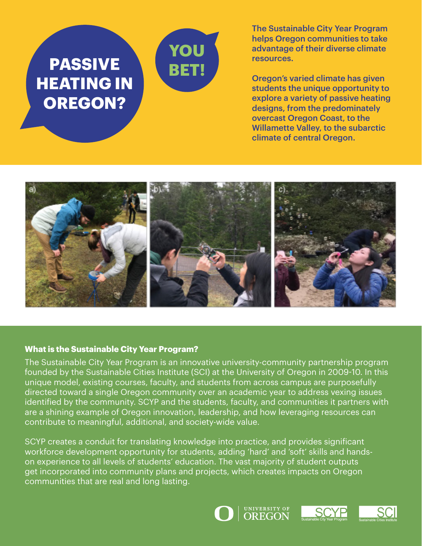

The Sustainable City Year Program helps Oregon communities to take advantage of their diverse climate resources.

Oregon's varied climate has given students the unique opportunity to explore a variety of passive heating designs, from the predominately overcast Oregon Coast, to the Willamette Valley, to the subarctic climate of central Oregon.



## **What is the Sustainable City Year Program?**

The Sustainable City Year Program is an innovative university-community partnership program founded by the Sustainable Cities Institute (SCI) at the University of Oregon in 2009-10. In this unique model, existing courses, faculty, and students from across campus are purposefully directed toward a single Oregon community over an academic year to address vexing issues identified by the community. SCYP and the students, faculty, and communities it partners with are a shining example of Oregon innovation, leadership, and how leveraging resources can contribute to meaningful, additional, and society-wide value.

SCYP creates a conduit for translating knowledge into practice, and provides significant workforce development opportunity for students, adding 'hard' and 'soft' skills and handson experience to all levels of students' education. The vast majority of student outputs get incorporated into community plans and projects, which creates impacts on Oregon communities that are real and long lasting.